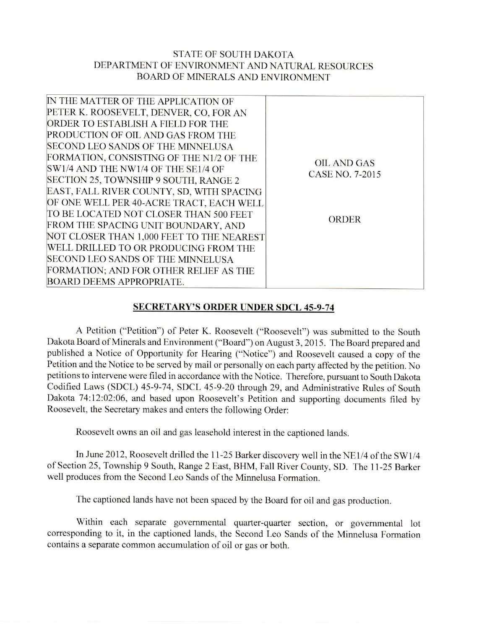## STATE OF SOUTH DAKOTA DEPARTMENT OF ENVIRONMENT AND NATURAL RESOURCES BOARD OF MINERALS AND ENVIRONMENT

| IN THE MATTER OF THE APPLICATION OF       |                    |
|-------------------------------------------|--------------------|
| PETER K. ROOSEVELT, DENVER, CO, FOR AN    |                    |
| ORDER TO ESTABLISH A FIELD FOR THE        |                    |
| PRODUCTION OF OIL AND GAS FROM THE        |                    |
| SECOND LEO SANDS OF THE MINNELUSA         |                    |
| FORMATION, CONSISTING OF THE N1/2 OF THE  | <b>OIL AND GAS</b> |
| SW1/4 AND THE NW1/4 OF THE SE1/4 OF       | CASE NO. 7-2015    |
| SECTION 25, TOWNSHIP 9 SOUTH, RANGE 2     |                    |
| EAST, FALL RIVER COUNTY, SD, WITH SPACING |                    |
| OF ONE WELL PER 40-ACRE TRACT, EACH WELL  |                    |
| TO BE LOCATED NOT CLOSER THAN 500 FEET    | <b>ORDER</b>       |
| FROM THE SPACING UNIT BOUNDARY, AND       |                    |
| NOT CLOSER THAN 1,000 FEET TO THE NEAREST |                    |
| WELL DRILLED TO OR PRODUCING FROM THE     |                    |
| SECOND LEO SANDS OF THE MINNELUSA         |                    |
| FORMATION; AND FOR OTHER RELIEF AS THE    |                    |
| <b>BOARD DEEMS APPROPRIATE.</b>           |                    |
|                                           |                    |

## **SECRETARY'S ORDER UNDER SDCL 45-9-74**

A Petition ("Petition") of Peter K. Roosevelt ("Roosevelt") was submitted to the South Dakota Board of Minerals and Environment ("Board") on August 3, 2015. The Board prepared and published a Notice of Opportunity for Hearing ("Notice") and Roosevelt caused a copy of the Petition and the Notice to be served by mail or personally on each party affected by the petition. No petitions to intervene were filed in accordance with the Notice. Therefore, pursuant to South Dakota Codified Laws (SDCL) 45-9-74, SDCL 45-9-20 through 29, and Administrative Rules of South Dakota 74:12:02:06, and based upon Roosevelt's Petition and supporting documents filed by Roosevelt, the Secretary makes and enters the following Order:

Roosevelt owns an oil and gas leasehold interest in the captioned lands.

In June 2012, Roosevelt drilled the 11-25 Barker discovery well in the NE1/4 of the SW1/4 of Section 25, Township 9 South, Range 2 East, BHM, Fall River County, SD. The 11-25 Barker well produces from the Second Leo Sands of the Minnelusa Formation.

The captioned lands have not been spaced by the Board for oil and gas production.

Within each separate governmental quarter-quarter section, or governmental lot corresponding to it, in the captioned lands, the Second Leo Sands of the Minnelusa Formation contains a separate common accumulation of oil or gas or both.